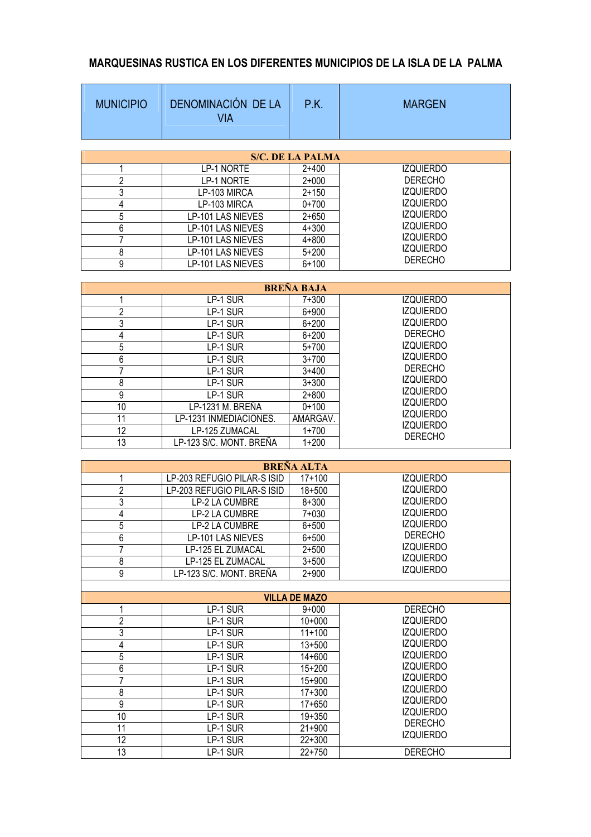## **MARQUESINAS RUSTICA EN LOS DIFERENTES MUNICIPIOS DE LA ISLA DE LA PALMA**

| <b>MUNICIPIO</b> | DENOMINACIÓN DE LA<br><b>VIA</b> | P.K.                              | <b>MARGEN</b>                        |
|------------------|----------------------------------|-----------------------------------|--------------------------------------|
|                  |                                  | <b>S/C. DE LA PALMA</b>           |                                      |
| 1                | LP-1 NORTE                       | $2 + 400$                         | <b>IZQUIERDO</b>                     |
| $\overline{2}$   | LP-1 NORTE                       | $2 + 000$                         | <b>DERECHO</b>                       |
| 3                | LP-103 MIRCA                     | $2 + 150$                         | <b>IZQUIERDO</b>                     |
| 4                | LP-103 MIRCA                     | $0+700$                           | <b>IZQUIERDO</b>                     |
| 5                | LP-101 LAS NIEVES                | $2 + 650$                         | <b>IZQUIERDO</b>                     |
| 6                | LP-101 LAS NIEVES                | $4 + 300$                         | <b>IZQUIERDO</b>                     |
| 7                | LP-101 LAS NIEVES                | $4 + 800$                         | <b>IZQUIERDO</b>                     |
| 8                | LP-101 LAS NIEVES                | $5 + 200$                         | <b>IZQUIERDO</b>                     |
|                  |                                  |                                   | <b>DERECHO</b>                       |
| 9                | LP-101 LAS NIEVES                | $6 + 100$                         |                                      |
|                  |                                  | <b>BREÑA BAJA</b>                 |                                      |
| 1                | LP-1 SUR                         | $7 + 300$                         | <b>IZQUIERDO</b>                     |
| $\overline{2}$   | LP-1 SUR                         | $6 + 900$                         | <b>IZQUIERDO</b>                     |
| 3                | LP-1 SUR                         | $6 + 200$                         | <b>IZQUIERDO</b>                     |
| 4                | LP-1 SUR                         | $6 + 200$                         | <b>DERECHO</b>                       |
| 5                | LP-1 SUR                         | $5 + 700$                         | <b>IZQUIERDO</b>                     |
| 6                | LP-1 SUR                         | $3 + 700$                         | <b>IZQUIERDO</b>                     |
| 7                | LP-1 SUR                         | $3+400$                           | <b>DERECHO</b>                       |
| 8                | LP-1 SUR                         | $3 + 300$                         | <b>IZQUIERDO</b>                     |
| $\overline{9}$   | LP-1 SUR                         | $2 + 800$                         | <b>IZQUIERDO</b>                     |
| 10               | LP-1231 M. BREÑA                 | $0 + 100$                         | <b>IZQUIERDO</b>                     |
| 11               | LP-1231 INMEDIACIONES.           | AMARGAV.                          | <b>IZQUIERDO</b>                     |
| 12               | LP-125 ZUMACAL                   | $1 + 700$                         | <b>IZQUIERDO</b>                     |
| 13               | LP-123 S/C. MONT. BREÑA          | $1 + 200$                         | <b>DERECHO</b>                       |
|                  |                                  |                                   |                                      |
|                  |                                  | <b>BREÑA ALTA</b>                 |                                      |
| 1                | LP-203 REFUGIO PILAR-S ISID      | $17 + 100$                        | <b>IZQUIERDO</b>                     |
| $\overline{c}$   | LP-203 REFUGIO PILAR-S ISID      | $18 + 500$                        | <b>IZQUIERDO</b>                     |
| 3                | LP-2 LA CUMBRE                   | $8 + 300$                         | <b>IZQUIERDO</b>                     |
| 4                | LP-2 LA CUMBRE                   | $7 + 030$                         | <b>IZQUIERDO</b>                     |
| 5                | LP-2 LA CUMBRE                   | $6 + 500$                         | <b>IZQUIERDO</b>                     |
| 6                | LP-101 LAS NIEVES                | $6 + 500$                         | <b>DERECHO</b>                       |
| 7                | LP-125 EL ZUMACAL                | $2 + 500$                         | <b>IZQUIERDO</b>                     |
| 8                | LP-125 EL ZUMACAL                | $3 + 500$                         | <b>IZQUIERDO</b><br><b>IZQUIERDO</b> |
| $\overline{9}$   | LP-123 S/C. MONT. BREÑA          | $2 + 900$                         |                                      |
|                  |                                  |                                   |                                      |
| 1                | LP-1 SUR                         | <b>VILLA DE MAZO</b><br>$9 + 000$ | <b>DERECHO</b>                       |
| $\overline{2}$   | LP-1 SUR                         | $10+000$                          | <b>IZQUIERDO</b>                     |
| 3                | LP-1 SUR                         | $11+100$                          | <b>IZQUIERDO</b>                     |
| 4                | LP-1 SUR                         | $13 + 500$                        | <b>IZQUIERDO</b>                     |
| 5                | LP-1 SUR                         | $14 + 600$                        | <b>IZQUIERDO</b>                     |
| $\boldsymbol{6}$ | LP-1 SUR                         | $15 + 200$                        | <b>IZQUIERDO</b>                     |
| 7                | LP-1 SUR                         | $15 + 900$                        | <b>IZQUIERDO</b>                     |
| 8                | LP-1 SUR                         | $17 + 300$                        | <b>IZQUIERDO</b>                     |
| 9                | LP-1 SUR                         | $17 + 650$                        | <b>IZQUIERDO</b>                     |
| 10               | LP-1 SUR                         | $19 + 350$                        | <b>IZQUIERDO</b>                     |
| 11               | LP-1 SUR                         | $21+900$                          | <b>DERECHO</b>                       |
| 12               | LP-1 SUR                         | $22 + 300$                        | <b>IZQUIERDO</b>                     |
| 13               | LP-1 SUR                         | $22 + 750$                        | <b>DERECHO</b>                       |
|                  |                                  |                                   |                                      |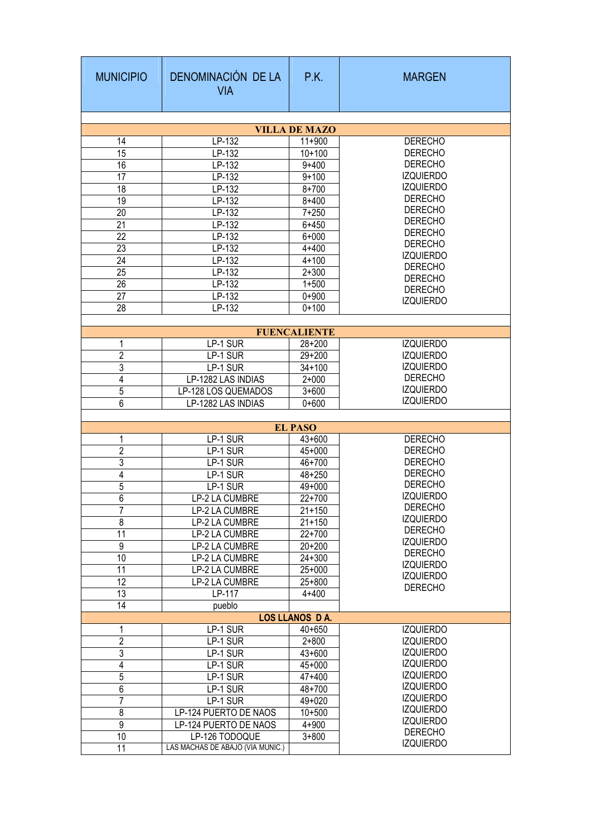| <b>MUNICIPIO</b>     | DENOMINACIÓN DE LA<br><b>VIA</b> | P.K.                         | <b>MARGEN</b>    |  |  |  |  |  |
|----------------------|----------------------------------|------------------------------|------------------|--|--|--|--|--|
|                      |                                  |                              |                  |  |  |  |  |  |
| <b>VILLA DE MAZO</b> |                                  |                              |                  |  |  |  |  |  |
| 14                   | LP-132                           | $11+900$                     | <b>DERECHO</b>   |  |  |  |  |  |
| 15                   | LP-132                           | $10+100$                     | <b>DERECHO</b>   |  |  |  |  |  |
| 16                   | LP-132                           | $9 + 400$                    | <b>DERECHO</b>   |  |  |  |  |  |
| 17                   | LP-132                           | $9 + 100$                    | <b>IZQUIERDO</b> |  |  |  |  |  |
| 18                   | LP-132                           | $8 + 700$                    | <b>IZQUIERDO</b> |  |  |  |  |  |
| 19                   | LP-132                           | $8 + 400$                    | <b>DERECHO</b>   |  |  |  |  |  |
| 20                   | LP-132                           | $7 + 250$                    | <b>DERECHO</b>   |  |  |  |  |  |
| 21                   | LP-132                           | $6 + 450$                    | <b>DERECHO</b>   |  |  |  |  |  |
| 22                   | LP-132                           | $6 + 000$                    | <b>DERECHO</b>   |  |  |  |  |  |
| 23                   | LP-132                           | $4 + 400$                    | <b>DERECHO</b>   |  |  |  |  |  |
| $\overline{24}$      | LP-132                           | $4 + 100$                    | <b>IZQUIERDO</b> |  |  |  |  |  |
| $\overline{25}$      | LP-132                           | $2 + 300$                    | <b>DERECHO</b>   |  |  |  |  |  |
| $\overline{26}$      | LP-132                           | $1 + 500$                    | <b>DERECHO</b>   |  |  |  |  |  |
| 27                   | LP-132                           | $0 + 900$                    | <b>DERECHO</b>   |  |  |  |  |  |
| $\overline{28}$      | LP-132                           | $0 + 100$                    | <b>IZQUIERDO</b> |  |  |  |  |  |
|                      |                                  |                              |                  |  |  |  |  |  |
|                      |                                  | <b>FUENCALIENTE</b>          |                  |  |  |  |  |  |
| 1                    | LP-1 SUR                         | $\overline{28} + 200$        | <b>IZQUIERDO</b> |  |  |  |  |  |
| $\overline{2}$       | LP-1 SUR                         | $29 + 200$                   | <b>IZQUIERDO</b> |  |  |  |  |  |
| 3                    | LP-1 SUR                         | $34 + 100$                   | <b>IZQUIERDO</b> |  |  |  |  |  |
| $\overline{4}$       | LP-1282 LAS INDIAS               | $2 + 000$                    | <b>DERECHO</b>   |  |  |  |  |  |
| 5                    | LP-128 LOS QUEMADOS              | $3 + 600$                    | <b>IZQUIERDO</b> |  |  |  |  |  |
| $\overline{6}$       | LP-1282 LAS INDIAS               | $0 + 600$                    | <b>IZQUIERDO</b> |  |  |  |  |  |
|                      |                                  |                              |                  |  |  |  |  |  |
|                      | LP-1 SUR                         | <b>EL PASO</b><br>$43 + 600$ | <b>DERECHO</b>   |  |  |  |  |  |
| 1<br>$\overline{2}$  | LP-1 SUR                         | $45 + 000$                   | <b>DERECHO</b>   |  |  |  |  |  |
| 3                    |                                  | 46+700                       | <b>DERECHO</b>   |  |  |  |  |  |
| $\overline{4}$       | LP-1 SUR                         |                              | <b>DERECHO</b>   |  |  |  |  |  |
|                      | LP-1 SUR                         | $48 + 250$                   | <b>DERECHO</b>   |  |  |  |  |  |
| 5                    | LP-1 SUR                         | $49 + 000$                   | <b>IZQUIERDO</b> |  |  |  |  |  |
| 6                    | <b>LP-2 LA CUMBRE</b>            | $22+700$                     | <b>DERECHO</b>   |  |  |  |  |  |
| 7                    | LP-2 LA CUMBRE                   | $21 + 150$                   | <b>IZQUIERDO</b> |  |  |  |  |  |
| $\overline{8}$       | LP-2 LA CUMBRE                   | $21 + 150$                   | <b>DERECHO</b>   |  |  |  |  |  |
| $\overline{11}$      | LP-2 LA CUMBRE                   | $22+700$                     | <b>IZQUIERDO</b> |  |  |  |  |  |
| $\overline{9}$       | LP-2 LA CUMBRE                   | $20 + 200$                   | <b>DERECHO</b>   |  |  |  |  |  |
| 10                   | LP-2 LA CUMBRE                   | $24 + 300$                   | <b>IZQUIERDO</b> |  |  |  |  |  |
| 11                   | LP-2 LA CUMBRE                   | $25+000$                     | <b>IZQUIERDO</b> |  |  |  |  |  |
| 12                   | LP-2 LA CUMBRE                   | $25 + 800$                   | <b>DERECHO</b>   |  |  |  |  |  |
| 13                   | LP-117                           | $4 + 400$                    |                  |  |  |  |  |  |
| 14                   | pueblo                           |                              |                  |  |  |  |  |  |
|                      |                                  | <b>LOS LLANOS DA.</b>        |                  |  |  |  |  |  |
| 1                    | LP-1 SUR                         | $40 + 650$                   | <b>IZQUIERDO</b> |  |  |  |  |  |
| 2                    | LP-1 SUR                         | $2 + 800$                    | <b>IZQUIERDO</b> |  |  |  |  |  |
| $\overline{3}$       | LP-1 SUR                         | $43 + 600$                   | <b>IZQUIERDO</b> |  |  |  |  |  |
| $\overline{4}$       | LP-1 SUR                         | 45+000                       | <b>IZQUIERDO</b> |  |  |  |  |  |
| $\overline{5}$       | LP-1 SUR                         | $47 + 400$                   | <b>IZQUIERDO</b> |  |  |  |  |  |
| $\overline{6}$       | LP-1 SUR                         | 48+700                       | <b>IZQUIERDO</b> |  |  |  |  |  |
| 7                    | LP-1 SUR                         | 49+020                       | <b>IZQUIERDO</b> |  |  |  |  |  |
| $\sqrt{8}$           | LP-124 PUERTO DE NAOS            | $10 + 500$                   | <b>IZQUIERDO</b> |  |  |  |  |  |
| $\overline{9}$       | LP-124 PUERTO DE NAOS            | $4 + 900$                    | <b>IZQUIERDO</b> |  |  |  |  |  |
| 10                   | LP-126 TODOQUE                   | $3 + 800$                    | <b>DERECHO</b>   |  |  |  |  |  |
| $\overline{11}$      | LAS MACHAS DE ABAJO (VIA MUNIC.) |                              | <b>IZQUIERDO</b> |  |  |  |  |  |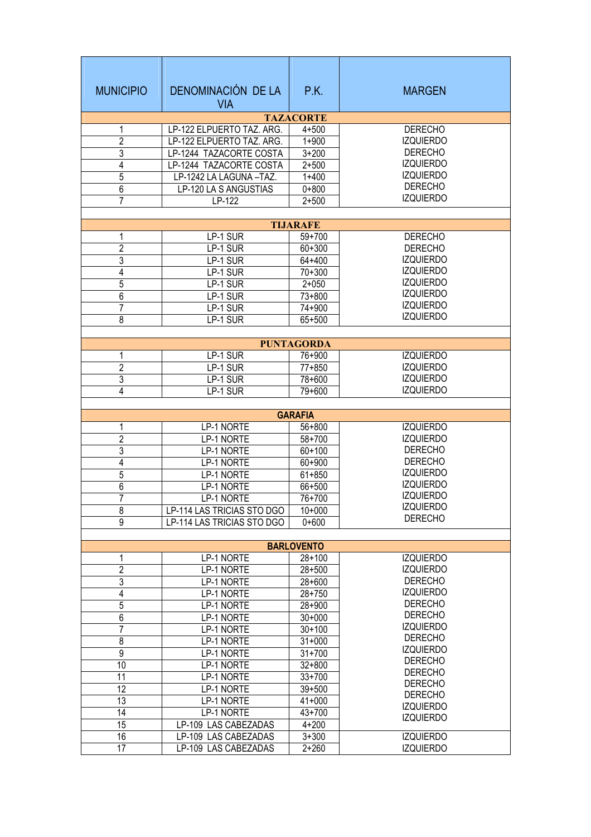| <b>MUNICIPIO</b>    | DENOMINACIÓN DE LA<br><b>VIA</b> | P.K.                     | <b>MARGEN</b>                        |  |  |  |  |  |
|---------------------|----------------------------------|--------------------------|--------------------------------------|--|--|--|--|--|
| <b>TAZACORTE</b>    |                                  |                          |                                      |  |  |  |  |  |
| 1                   | LP-122 ELPUERTO TAZ. ARG.        | $4 + 500$                | <b>DERECHO</b>                       |  |  |  |  |  |
| $\overline{2}$      | LP-122 ELPUERTO TAZ. ARG.        | $1 + 900$                | <b>IZQUIERDO</b>                     |  |  |  |  |  |
| 3                   | LP-1244 TAZACORTE COSTA          | $3 + 200$                | <b>DERECHO</b>                       |  |  |  |  |  |
| 4                   | LP-1244 TAZACORTE COSTA          | $2 + 500$                | <b>IZQUIERDO</b><br><b>IZQUIERDO</b> |  |  |  |  |  |
| $\overline{5}$      | LP-1242 LA LAGUNA-TAZ.           | $1 + 400$                | <b>DERECHO</b>                       |  |  |  |  |  |
| $\overline{6}$      | LP-120 LA S ANGUSTIAS            | $0 + 800$                | <b>IZQUIERDO</b>                     |  |  |  |  |  |
| 7                   | LP-122                           | $2 + 500$                |                                      |  |  |  |  |  |
|                     |                                  | <b>TIJARAFE</b>          |                                      |  |  |  |  |  |
| 1                   | LP-1 SUR                         | $59+700$                 | <b>DERECHO</b>                       |  |  |  |  |  |
| $\overline{2}$      | LP-1 SUR                         | $60 + 300$               | <b>DERECHO</b>                       |  |  |  |  |  |
| 3                   | LP-1 SUR                         | 64+400                   | <b>IZQUIERDO</b>                     |  |  |  |  |  |
| 4                   | LP-1 SUR                         | $70 + 300$               | <b>IZQUIERDO</b>                     |  |  |  |  |  |
| 5                   | LP-1 SUR                         | $2 + 050$                | <b>IZQUIERDO</b>                     |  |  |  |  |  |
| $6\,$               | LP-1 SUR                         | $73 + 800$               | <b>IZQUIERDO</b>                     |  |  |  |  |  |
| 7                   | LP-1 SUR                         | 74+900                   | <b>IZQUIERDO</b>                     |  |  |  |  |  |
| 8                   | LP-1 SUR                         | 65+500                   | <b>IZQUIERDO</b>                     |  |  |  |  |  |
|                     |                                  |                          |                                      |  |  |  |  |  |
|                     |                                  | <b>PUNTAGORDA</b>        |                                      |  |  |  |  |  |
| 1                   | LP-1 SUR                         | 76+900                   | <b>IZQUIERDO</b>                     |  |  |  |  |  |
| $\overline{2}$      | LP-1 SUR                         | $77 + 850$               | <b>IZQUIERDO</b>                     |  |  |  |  |  |
| 3                   | LP-1 SUR                         | 78+600                   | <b>IZQUIERDO</b><br><b>IZQUIERDO</b> |  |  |  |  |  |
| 4                   | LP-1 SUR                         | 79+600                   |                                      |  |  |  |  |  |
|                     |                                  | <b>GARAFIA</b>           |                                      |  |  |  |  |  |
| 1                   | LP-1 NORTE                       | $56 + 800$               | <b>IZQUIERDO</b>                     |  |  |  |  |  |
| $\overline{2}$      | LP-1 NORTE                       | $58 + 700$               | <b>IZQUIERDO</b>                     |  |  |  |  |  |
| 3                   | LP-1 NORTE                       | $60 + 100$               | <b>DERECHO</b>                       |  |  |  |  |  |
| 4                   | LP-1 NORTE                       | 60+900                   | <b>DERECHO</b>                       |  |  |  |  |  |
| 5                   | LP-1 NORTE                       | $61 + 850$               | <b>IZQUIERDO</b>                     |  |  |  |  |  |
| 6                   | LP-1 NORTE                       | $66 + 500$               | <b>IZQUIERDO</b>                     |  |  |  |  |  |
| 7                   | LP-1 NORTE                       | 76+700                   | <b>IZQUIERDO</b>                     |  |  |  |  |  |
| 8                   | LP-114 LAS TRICIAS STO DGO       | $10+000$                 | <b>IZQUIERDO</b>                     |  |  |  |  |  |
| $\overline{9}$      | LP-114 LAS TRICIAS STO DGO       | $0 + 600$                | <b>DERECHO</b>                       |  |  |  |  |  |
|                     |                                  |                          |                                      |  |  |  |  |  |
|                     |                                  | <b>BARLOVENTO</b>        |                                      |  |  |  |  |  |
| 1<br>$\overline{2}$ | LP-1 NORTE                       | $28 + 100$               | <b>IZQUIERDO</b><br><b>IZQUIERDO</b> |  |  |  |  |  |
| $\overline{3}$      | LP-1 NORTE<br>LP-1 NORTE         | $28 + 500$<br>$28 + 600$ | <b>DERECHO</b>                       |  |  |  |  |  |
| $\overline{4}$      | LP-1 NORTE                       | $28 + 750$               | <b>IZQUIERDO</b>                     |  |  |  |  |  |
| $\overline{5}$      | LP-1 NORTE                       | 28+900                   | <b>DERECHO</b>                       |  |  |  |  |  |
| $\overline{6}$      | LP-1 NORTE                       | $30+000$                 | <b>DERECHO</b>                       |  |  |  |  |  |
| $\overline{7}$      | LP-1 NORTE                       | $30 + 100$               | <b>IZQUIERDO</b>                     |  |  |  |  |  |
| $\overline{8}$      | LP-1 NORTE                       | $31+000$                 | <b>DERECHO</b>                       |  |  |  |  |  |
| 9                   | LP-1 NORTE                       | $31 + 700$               | <b>IZQUIERDO</b>                     |  |  |  |  |  |
| 10                  | LP-1 NORTE                       | $32 + 800$               | <b>DERECHO</b>                       |  |  |  |  |  |
| 11                  | LP-1 NORTE                       | $33+700$                 | <b>DERECHO</b>                       |  |  |  |  |  |
| 12                  | LP-1 NORTE                       | $39 + 500$               | <b>DERECHO</b>                       |  |  |  |  |  |
| 13                  | LP-1 NORTE                       | $41 + 000$               | <b>DERECHO</b><br><b>IZQUIERDO</b>   |  |  |  |  |  |
| $\overline{14}$     | LP-1 NORTE                       | 43+700                   | <b>IZQUIERDO</b>                     |  |  |  |  |  |
| 15                  | LP-109 LAS CABEZADAS             | $4 + 200$                |                                      |  |  |  |  |  |
| 16                  | LP-109 LAS CABEZADAS             | $3 + 300$                | <b>IZQUIERDO</b>                     |  |  |  |  |  |
| 17                  | LP-109 LAS CABEZADAS             | $2 + 260$                | <b>IZQUIERDO</b>                     |  |  |  |  |  |